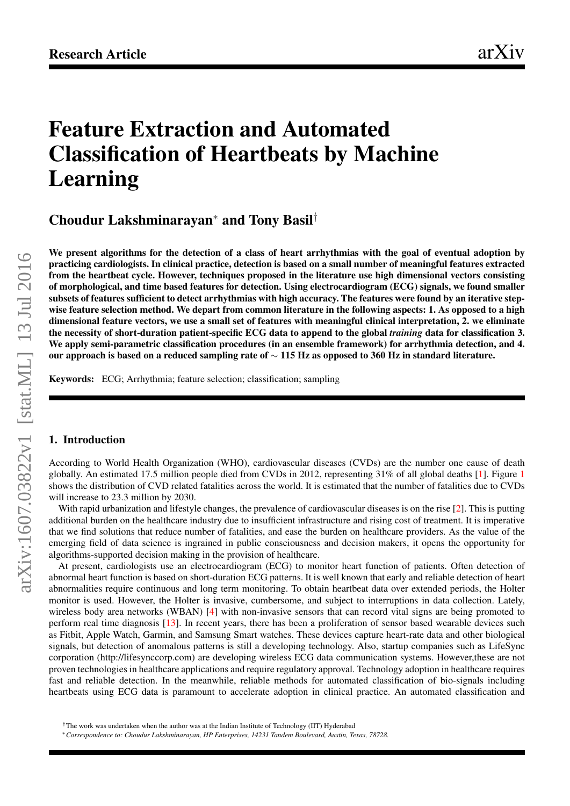# <span id="page-0-0"></span>Feature Extraction and Automated Classification of Heartbeats by Machine Learning

Choudur Lakshminarayan<sup>∗</sup> and Tony Basil†

We present algorithms for the detection of a class of heart arrhythmias with the goal of eventual adoption by practicing cardiologists. In clinical practice, detection is based on a small number of meaningful features extracted from the heartbeat cycle. However, techniques proposed in the literature use high dimensional vectors consisting of morphological, and time based features for detection. Using electrocardiogram (ECG) signals, we found smaller subsets of features sufficient to detect arrhythmias with high accuracy. The features were found by an iterative stepwise feature selection method. We depart from common literature in the following aspects: 1. As opposed to a high dimensional feature vectors, we use a small set of features with meaningful clinical interpretation, 2. we eliminate the necessity of short-duration patient-specific ECG data to append to the global *training* data for classification 3. We apply semi-parametric classification procedures (in an ensemble framework) for arrhythmia detection, and 4. our approach is based on a reduced sampling rate of  $\sim$  115 Hz as opposed to 360 Hz in standard literature.

Keywords: ECG; Arrhythmia; feature selection; classification; sampling

#### 1. Introduction

According to World Health Organization (WHO), cardiovascular diseases (CVDs) are the number one cause of death globally. An estimated [1](#page-1-0)7.5 million people died from CVDs in 2012, representing  $31\%$  of all global deaths [\[1\]](#page-8-0). Figure 1 shows the distribution of CVD related fatalities across the world. It is estimated that the number of fatalities due to CVDs will increase to 23.3 million by 2030.

With rapid urbanization and lifestyle changes, the prevalence of cardiovascular diseases is on the rise [\[2\]](#page-8-1). This is putting additional burden on the healthcare industry due to insufficient infrastructure and rising cost of treatment. It is imperative that we find solutions that reduce number of fatalities, and ease the burden on healthcare providers. As the value of the emerging field of data science is ingrained in public consciousness and decision makers, it opens the opportunity for algorithms-supported decision making in the provision of healthcare.

At present, cardiologists use an electrocardiogram (ECG) to monitor heart function of patients. Often detection of abnormal heart function is based on short-duration ECG patterns. It is well known that early and reliable detection of heart abnormalities require continuous and long term monitoring. To obtain heartbeat data over extended periods, the Holter monitor is used. However, the Holter is invasive, cumbersome, and subject to interruptions in data collection. Lately, wireless body area networks (WBAN) [\[4\]](#page-8-2) with non-invasive sensors that can record vital signs are being promoted to perform real time diagnosis [\[13\]](#page-8-3). In recent years, there has been a proliferation of sensor based wearable devices such as Fitbit, Apple Watch, Garmin, and Samsung Smart watches. These devices capture heart-rate data and other biological signals, but detection of anomalous patterns is still a developing technology. Also, startup companies such as LifeSync corporation (http://lifesynccorp.com) are developing wireless ECG data communication systems. However,these are not proven technologies in healthcare applications and require regulatory approval. Technology adoption in healthcare requires fast and reliable detection. In the meanwhile, reliable methods for automated classification of bio-signals including heartbeats using ECG data is paramount to accelerate adoption in clinical practice. An automated classification and

<sup>&</sup>lt;sup>†</sup>The work was undertaken when the author was at the Indian Institute of Technology (IIT) Hyderabad

<sup>∗</sup>*Correspondence to: Choudur Lakshminarayan, HP Enterprises, 14231 Tandem Boulevard, Austin, Texas, 78728.*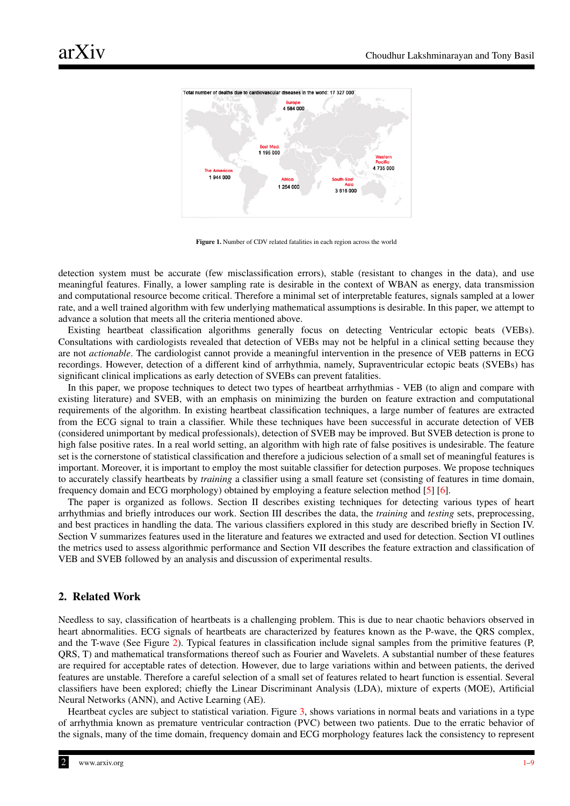<span id="page-1-0"></span>

Figure 1. Number of CDV related fatalities in each region across the world

detection system must be accurate (few misclassification errors), stable (resistant to changes in the data), and use meaningful features. Finally, a lower sampling rate is desirable in the context of WBAN as energy, data transmission and computational resource become critical. Therefore a minimal set of interpretable features, signals sampled at a lower rate, and a well trained algorithm with few underlying mathematical assumptions is desirable. In this paper, we attempt to advance a solution that meets all the criteria mentioned above.

Existing heartbeat classification algorithms generally focus on detecting Ventricular ectopic beats (VEBs). Consultations with cardiologists revealed that detection of VEBs may not be helpful in a clinical setting because they are not *actionable*. The cardiologist cannot provide a meaningful intervention in the presence of VEB patterns in ECG recordings. However, detection of a different kind of arrhythmia, namely, Supraventricular ectopic beats (SVEBs) has significant clinical implications as early detection of SVEBs can prevent fatalities.

In this paper, we propose techniques to detect two types of heartbeat arrhythmias - VEB (to align and compare with existing literature) and SVEB, with an emphasis on minimizing the burden on feature extraction and computational requirements of the algorithm. In existing heartbeat classification techniques, a large number of features are extracted from the ECG signal to train a classifier. While these techniques have been successful in accurate detection of VEB (considered unimportant by medical professionals), detection of SVEB may be improved. But SVEB detection is prone to high false positive rates. In a real world setting, an algorithm with high rate of false positives is undesirable. The feature set is the cornerstone of statistical classification and therefore a judicious selection of a small set of meaningful features is important. Moreover, it is important to employ the most suitable classifier for detection purposes. We propose techniques to accurately classify heartbeats by *training* a classifier using a small feature set (consisting of features in time domain, frequency domain and ECG morphology) obtained by employing a feature selection method [\[5\]](#page-8-4) [\[6\]](#page-8-5).

The paper is organized as follows. Section II describes existing techniques for detecting various types of heart arrhythmias and briefly introduces our work. Section III describes the data, the *training* and *testing* sets, preprocessing, and best practices in handling the data. The various classifiers explored in this study are described briefly in Section IV. Section V summarizes features used in the literature and features we extracted and used for detection. Section VI outlines the metrics used to assess algorithmic performance and Section VII describes the feature extraction and classification of VEB and SVEB followed by an analysis and discussion of experimental results.

# 2. Related Work

Needless to say, classification of heartbeats is a challenging problem. This is due to near chaotic behaviors observed in heart abnormalities. ECG signals of heartbeats are characterized by features known as the P-wave, the QRS complex, and the T-wave (See Figure [2\)](#page-2-0). Typical features in classification include signal samples from the primitive features (P, QRS, T) and mathematical transformations thereof such as Fourier and Wavelets. A substantial number of these features are required for acceptable rates of detection. However, due to large variations within and between patients, the derived features are unstable. Therefore a careful selection of a small set of features related to heart function is essential. Several classifiers have been explored; chiefly the Linear Discriminant Analysis (LDA), mixture of experts (MOE), Artificial Neural Networks (ANN), and Active Learning (AE).

Heartbeat cycles are subject to statistical variation. Figure [3,](#page-3-0) shows variations in normal beats and variations in a type of arrhythmia known as premature ventricular contraction (PVC) between two patients. Due to the erratic behavior of the signals, many of the time domain, frequency domain and ECG morphology features lack the consistency to represent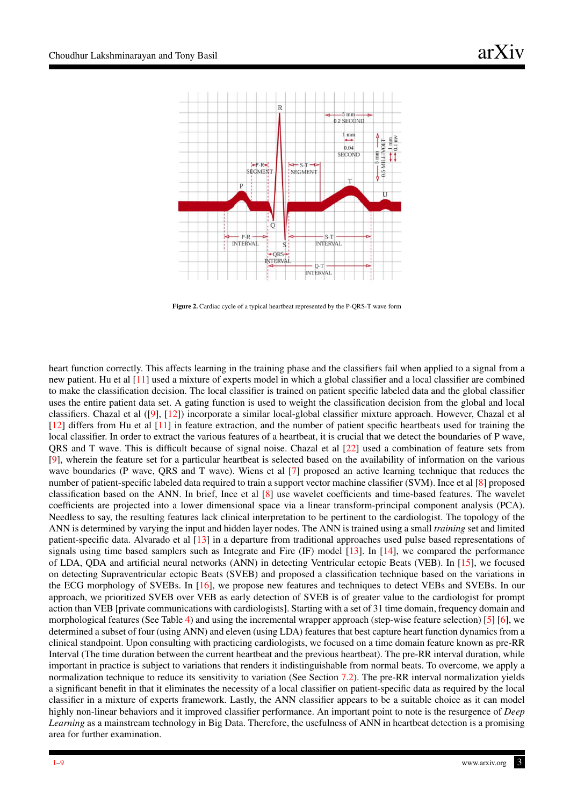<span id="page-2-0"></span>

Figure 2. Cardiac cycle of a typical heartbeat represented by the P-QRS-T wave form

heart function correctly. This affects learning in the training phase and the classifiers fail when applied to a signal from a new patient. Hu et al [\[11\]](#page-8-6) used a mixture of experts model in which a global classifier and a local classifier are combined to make the classification decision. The local classifier is trained on patient specific labeled data and the global classifier uses the entire patient data set. A gating function is used to weight the classification decision from the global and local classifiers. Chazal et al ([\[9\]](#page-8-7), [\[12\]](#page-8-8)) incorporate a similar local-global classifier mixture approach. However, Chazal et al [\[12\]](#page-8-8) differs from Hu et al [\[11\]](#page-8-6) in feature extraction, and the number of patient specific heartbeats used for training the local classifier. In order to extract the various features of a heartbeat, it is crucial that we detect the boundaries of P wave, QRS and T wave. This is difficult because of signal noise. Chazal et al [\[22\]](#page-8-9) used a combination of feature sets from [\[9\]](#page-8-7), wherein the feature set for a particular heartbeat is selected based on the availability of information on the various wave boundaries (P wave, QRS and T wave). Wiens et al [\[7\]](#page-8-10) proposed an active learning technique that reduces the number of patient-specific labeled data required to train a support vector machine classifier (SVM). Ince et al [\[8\]](#page-8-11) proposed classification based on the ANN. In brief, Ince et al [\[8\]](#page-8-11) use wavelet coefficients and time-based features. The wavelet coefficients are projected into a lower dimensional space via a linear transform-principal component analysis (PCA). Needless to say, the resulting features lack clinical interpretation to be pertinent to the cardiologist. The topology of the ANN is determined by varying the input and hidden layer nodes. The ANN is trained using a small *training* set and limited patient-specific data. Alvarado et al [\[13\]](#page-8-3) in a departure from traditional approaches used pulse based representations of signals using time based samplers such as Integrate and Fire (IF) model [\[13\]](#page-8-3). In [\[14\]](#page-8-12), we compared the performance of LDA, QDA and artificial neural networks (ANN) in detecting Ventricular ectopic Beats (VEB). In [\[15\]](#page-8-13), we focused on detecting Supraventricular ectopic Beats (SVEB) and proposed a classification technique based on the variations in the ECG morphology of SVEBs. In [\[16\]](#page-8-14), we propose new features and techniques to detect VEBs and SVEBs. In our approach, we prioritized SVEB over VEB as early detection of SVEB is of greater value to the cardiologist for prompt action than VEB [private communications with cardiologists]. Starting with a set of 31 time domain, frequency domain and morphological features (See Table [4\)](#page-10-1) and using the incremental wrapper approach (step-wise feature selection) [\[5\]](#page-8-4) [\[6\]](#page-8-5), we determined a subset of four (using ANN) and eleven (using LDA) features that best capture heart function dynamics from a clinical standpoint. Upon consulting with practicing cardiologists, we focused on a time domain feature known as pre-RR Interval (The time duration between the current heartbeat and the previous heartbeat). The pre-RR interval duration, while important in practice is subject to variations that renders it indistinguishable from normal beats. To overcome, we apply a normalization technique to reduce its sensitivity to variation (See Section [7.2\)](#page-6-0). The pre-RR interval normalization yields a significant benefit in that it eliminates the necessity of a local classifier on patient-specific data as required by the local classifier in a mixture of experts framework. Lastly, the ANN classifier appears to be a suitable choice as it can model highly non-linear behaviors and it improved classifier performance. An important point to note is the resurgence of *Deep Learning* as a mainstream technology in Big Data. Therefore, the usefulness of ANN in heartbeat detection is a promising area for further examination.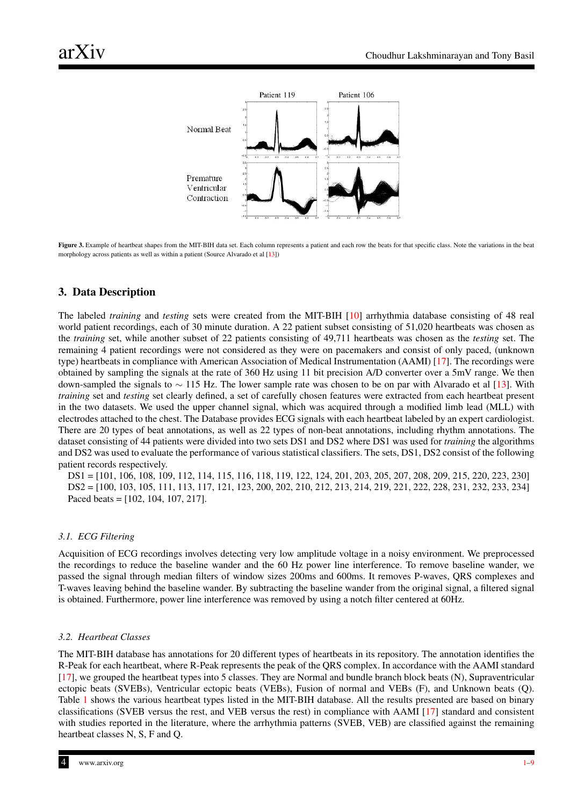<span id="page-3-0"></span>

Figure 3. Example of heartbeat shapes from the MIT-BIH data set. Each column represents a patient and each row the beats for that specific class. Note the variations in the beat morphology across patients as well as within a patient (Source Alvarado et al [\[13\]](#page-8-3))

# 3. Data Description

The labeled *training* and *testing* sets were created from the MIT-BIH [\[10\]](#page-8-15) arrhythmia database consisting of 48 real world patient recordings, each of 30 minute duration. A 22 patient subset consisting of 51,020 heartbeats was chosen as the *training* set, while another subset of 22 patients consisting of 49,711 heartbeats was chosen as the *testing* set. The remaining 4 patient recordings were not considered as they were on pacemakers and consist of only paced, (unknown type) heartbeats in compliance with American Association of Medical Instrumentation (AAMI) [\[17\]](#page-8-16). The recordings were obtained by sampling the signals at the rate of 360 Hz using 11 bit precision A/D converter over a 5mV range. We then down-sampled the signals to ∼ 115 Hz. The lower sample rate was chosen to be on par with Alvarado et al [\[13\]](#page-8-3). With *training* set and *testing* set clearly defined, a set of carefully chosen features were extracted from each heartbeat present in the two datasets. We used the upper channel signal, which was acquired through a modified limb lead (MLL) with electrodes attached to the chest. The Database provides ECG signals with each heartbeat labeled by an expert cardiologist. There are 20 types of beat annotations, as well as 22 types of non-beat annotations, including rhythm annotations. The dataset consisting of 44 patients were divided into two sets DS1 and DS2 where DS1 was used for *training* the algorithms and DS2 was used to evaluate the performance of various statistical classifiers. The sets, DS1, DS2 consist of the following patient records respectively.

DS1 = [101, 106, 108, 109, 112, 114, 115, 116, 118, 119, 122, 124, 201, 203, 205, 207, 208, 209, 215, 220, 223, 230] DS2 = [100, 103, 105, 111, 113, 117, 121, 123, 200, 202, 210, 212, 213, 214, 219, 221, 222, 228, 231, 232, 233, 234] Paced beats = [102, 104, 107, 217].

#### *3.1. ECG Filtering*

Acquisition of ECG recordings involves detecting very low amplitude voltage in a noisy environment. We preprocessed the recordings to reduce the baseline wander and the 60 Hz power line interference. To remove baseline wander, we passed the signal through median filters of window sizes 200ms and 600ms. It removes P-waves, QRS complexes and T-waves leaving behind the baseline wander. By subtracting the baseline wander from the original signal, a filtered signal is obtained. Furthermore, power line interference was removed by using a notch filter centered at 60Hz.

#### *3.2. Heartbeat Classes*

The MIT-BIH database has annotations for 20 different types of heartbeats in its repository. The annotation identifies the R-Peak for each heartbeat, where R-Peak represents the peak of the QRS complex. In accordance with the AAMI standard [\[17\]](#page-8-16), we grouped the heartbeat types into 5 classes. They are Normal and bundle branch block beats (N), Supraventricular ectopic beats (SVEBs), Ventricular ectopic beats (VEBs), Fusion of normal and VEBs (F), and Unknown beats (Q). Table [1](#page-9-0) shows the various heartbeat types listed in the MIT-BIH database. All the results presented are based on binary classifications (SVEB versus the rest, and VEB versus the rest) in compliance with AAMI [\[17\]](#page-8-16) standard and consistent with studies reported in the literature, where the arrhythmia patterns (SVEB, VEB) are classified against the remaining heartbeat classes N, S, F and Q.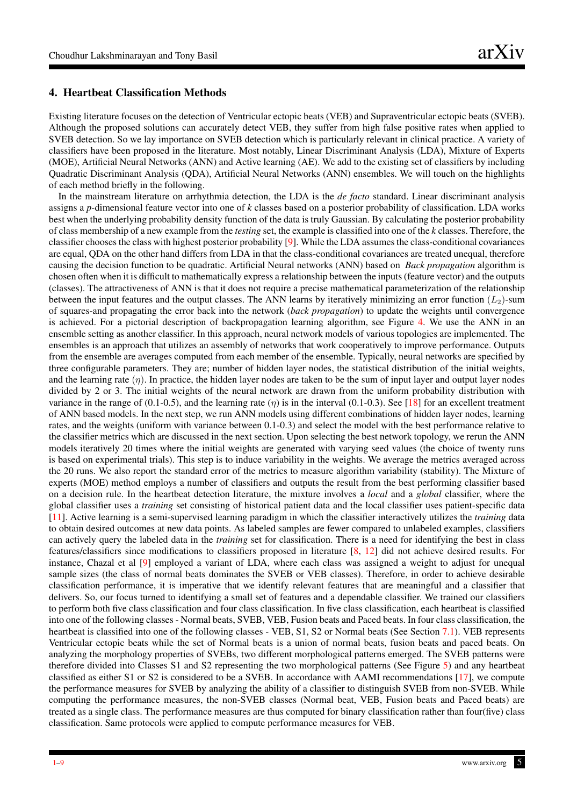## 4. Heartbeat Classification Methods

Existing literature focuses on the detection of Ventricular ectopic beats (VEB) and Supraventricular ectopic beats (SVEB). Although the proposed solutions can accurately detect VEB, they suffer from high false positive rates when applied to SVEB detection. So we lay importance on SVEB detection which is particularly relevant in clinical practice. A variety of classifiers have been proposed in the literature. Most notably, Linear Discriminant Analysis (LDA), Mixture of Experts (MOE), Artificial Neural Networks (ANN) and Active learning (AE). We add to the existing set of classifiers by including Quadratic Discriminant Analysis (QDA), Artificial Neural Networks (ANN) ensembles. We will touch on the highlights of each method briefly in the following.

In the mainstream literature on arrhythmia detection, the LDA is the *de facto* standard. Linear discriminant analysis assigns a *p*-dimensional feature vector into one of *k* classes based on a posterior probability of classification. LDA works best when the underlying probability density function of the data is truly Gaussian. By calculating the posterior probability of class membership of a new example from the *testing* set, the example is classified into one of the *k* classes. Therefore, the classifier chooses the class with highest posterior probability [\[9\]](#page-8-7). While the LDA assumes the class-conditional covariances are equal, QDA on the other hand differs from LDA in that the class-conditional covariances are treated unequal, therefore causing the decision function to be quadratic. Artificial Neural networks (ANN) based on *Back propagation* algorithm is chosen often when it is difficult to mathematically express a relationship between the inputs (feature vector) and the outputs (classes). The attractiveness of ANN is that it does not require a precise mathematical parameterization of the relationship between the input features and the output classes. The ANN learns by iteratively minimizing an error function  $(L<sub>2</sub>)$ -sum of squares-and propagating the error back into the network (*back propagation*) to update the weights until convergence is achieved. For a pictorial description of backpropagation learning algorithm, see Figure [4.](#page-5-0) We use the ANN in an ensemble setting as another classifier. In this approach, neural network models of various topologies are implemented. The ensembles is an approach that utilizes an assembly of networks that work cooperatively to improve performance. Outputs from the ensemble are averages computed from each member of the ensemble. Typically, neural networks are specified by three configurable parameters. They are; number of hidden layer nodes, the statistical distribution of the initial weights, and the learning rate  $(\eta)$ . In practice, the hidden layer nodes are taken to be the sum of input layer and output layer nodes divided by 2 or 3. The initial weights of the neural network are drawn from the uniform probability distribution with variance in the range of (0.1-0.5), and the learning rate ( $\eta$ ) is in the interval (0.1-0.3). See [\[18\]](#page-8-17) for an excellent treatment of ANN based models. In the next step, we run ANN models using different combinations of hidden layer nodes, learning rates, and the weights (uniform with variance between 0.1-0.3) and select the model with the best performance relative to the classifier metrics which are discussed in the next section. Upon selecting the best network topology, we rerun the ANN models iteratively 20 times where the initial weights are generated with varying seed values (the choice of twenty runs is based on experimental trials). This step is to induce variability in the weights. We average the metrics averaged across the 20 runs. We also report the standard error of the metrics to measure algorithm variability (stability). The Mixture of experts (MOE) method employs a number of classifiers and outputs the result from the best performing classifier based on a decision rule. In the heartbeat detection literature, the mixture involves a *local* and a *global* classifier, where the global classifier uses a *training* set consisting of historical patient data and the local classifier uses patient-specific data [\[11\]](#page-8-6). Active learning is a semi-supervised learning paradigm in which the classifier interactively utilizes the *training* data to obtain desired outcomes at new data points. As labeled samples are fewer compared to unlabeled examples, classifiers can actively query the labeled data in the *training* set for classification. There is a need for identifying the best in class features/classifiers since modifications to classifiers proposed in literature [\[8,](#page-8-11) [12\]](#page-8-8) did not achieve desired results. For instance, Chazal et al [\[9\]](#page-8-7) employed a variant of LDA, where each class was assigned a weight to adjust for unequal sample sizes (the class of normal beats dominates the SVEB or VEB classes). Therefore, in order to achieve desirable classification performance, it is imperative that we identify relevant features that are meaningful and a classifier that delivers. So, our focus turned to identifying a small set of features and a dependable classifier. We trained our classifiers to perform both five class classification and four class classification. In five class classification, each heartbeat is classified into one of the following classes - Normal beats, SVEB, VEB, Fusion beats and Paced beats. In four class classification, the heartbeat is classified into one of the following classes - VEB, S1, S2 or Normal beats (See Section [7.1\)](#page-6-1). VEB represents Ventricular ectopic beats while the set of Normal beats is a union of normal beats, fusion beats and paced beats. On analyzing the morphology properties of SVEBs, two different morphological patterns emerged. The SVEB patterns were therefore divided into Classes S1 and S2 representing the two morphological patterns (See Figure [5\)](#page-5-1) and any heartbeat classified as either S1 or S2 is considered to be a SVEB. In accordance with AAMI recommendations [\[17\]](#page-8-16), we compute the performance measures for SVEB by analyzing the ability of a classifier to distinguish SVEB from non-SVEB. While computing the performance measures, the non-SVEB classes (Normal beat, VEB, Fusion beats and Paced beats) are treated as a single class. The performance measures are thus computed for binary classification rather than four(five) class classification. Same protocols were applied to compute performance measures for VEB.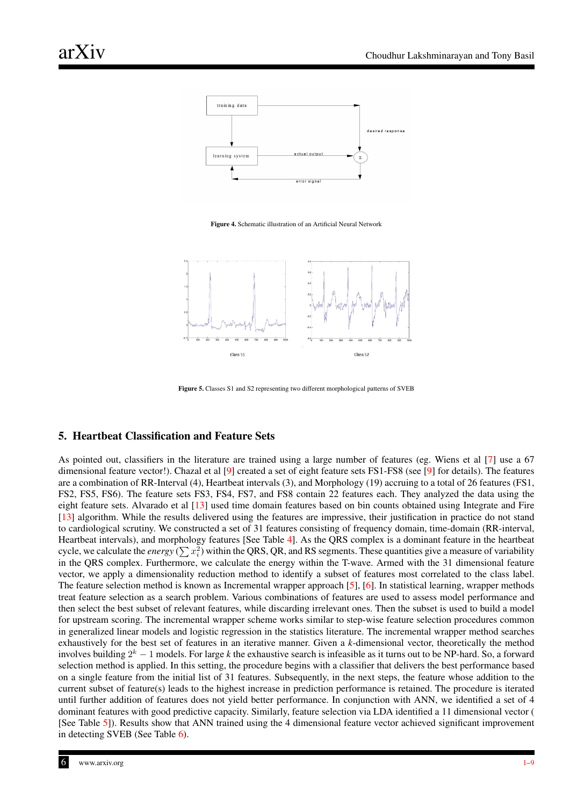<span id="page-5-0"></span>

Figure 4. Schematic illustration of an Artificial Neural Network

<span id="page-5-1"></span>

Figure 5. Classes S1 and S2 representing two different morphological patterns of SVEB

# 5. Heartbeat Classification and Feature Sets

As pointed out, classifiers in the literature are trained using a large number of features (eg. Wiens et al [\[7\]](#page-8-10) use a 67 dimensional feature vector!). Chazal et al [\[9\]](#page-8-7) created a set of eight feature sets FS1-FS8 (see [9] for details). The features are a combination of RR-Interval (4), Heartbeat intervals (3), and Morphology (19) accruing to a total of 26 features (FS1, FS2, FS5, FS6). The feature sets FS3, FS4, FS7, and FS8 contain 22 features each. They analyzed the data using the eight feature sets. Alvarado et al [\[13\]](#page-8-3) used time domain features based on bin counts obtained using Integrate and Fire [\[13\]](#page-8-3) algorithm. While the results delivered using the features are impressive, their justification in practice do not stand to cardiological scrutiny. We constructed a set of 31 features consisting of frequency domain, time-domain (RR-interval, Heartbeat intervals), and morphology features [See Table [4\]](#page-10-1). As the QRS complex is a dominant feature in the heartbeat cycle, we calculate the *energy* ( $\sum x_i^2$ ) within the QRS, QR, and RS segments. These quantities give a measure of variability in the QRS complex. Furthermore, we calculate the energy within the T-wave. Armed with the 31 dimensional feature vector, we apply a dimensionality reduction method to identify a subset of features most correlated to the class label. The feature selection method is known as Incremental wrapper approach [\[5\]](#page-8-4), [\[6\]](#page-8-5). In statistical learning, wrapper methods treat feature selection as a search problem. Various combinations of features are used to assess model performance and then select the best subset of relevant features, while discarding irrelevant ones. Then the subset is used to build a model for upstream scoring. The incremental wrapper scheme works similar to step-wise feature selection procedures common in generalized linear models and logistic regression in the statistics literature. The incremental wrapper method searches exhaustively for the best set of features in an iterative manner. Given a *k*-dimensional vector, theoretically the method involves building  $2^k - 1$  models. For large *k* the exhaustive search is infeasible as it turns out to be NP-hard. So, a forward selection method is applied. In this setting, the procedure begins with a classifier that delivers the best performance based on a single feature from the initial list of 31 features. Subsequently, in the next steps, the feature whose addition to the current subset of feature(s) leads to the highest increase in prediction performance is retained. The procedure is iterated until further addition of features does not yield better performance. In conjunction with ANN, we identified a set of 4 dominant features with good predictive capacity. Similarly, feature selection via LDA identified a 11 dimensional vector ( [See Table [5\]](#page-10-2)). Results show that ANN trained using the 4 dimensional feature vector achieved significant improvement in detecting SVEB (See Table [6\)](#page-10-0).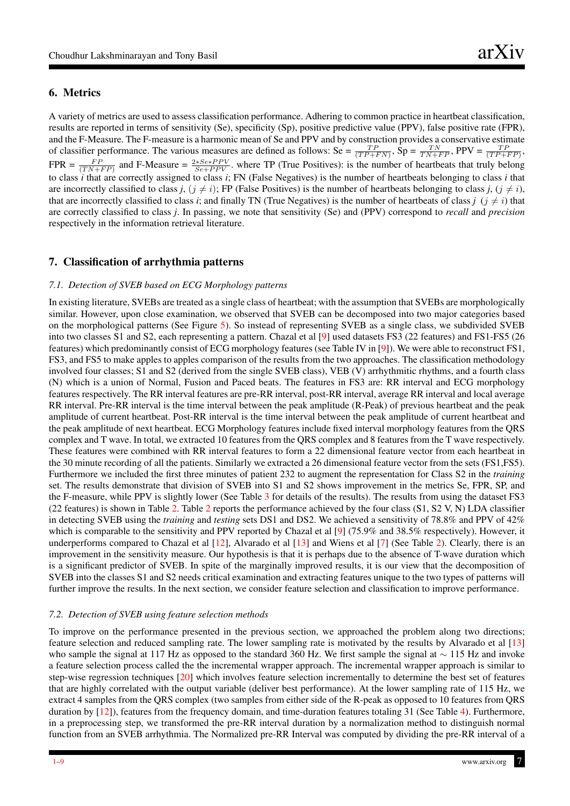## 6. Metrics

A variety of metrics are used to assess classification performance. Adhering to common practice in heartbeat classification, results are reported in terms of sensitivity (Se), specificity (Sp), positive predictive value (PPV), false positive rate (FPR), and the F-Measure. The F-measure is a harmonic mean of Se and PPV and by construction provides a conservative estimate of classifier performance. The various measures are defined as follows: Se =  $\frac{TP}{(TP+FN)}$ , Sp =  $\frac{TN}{TN+FP}$ , PPV =  $\frac{TP}{(TP+FP)}$ , FPR =  $\frac{FP}{(TN+FP)}$  and F-Measure =  $\frac{2*Se*PPV}{Se+PPV}$ . where TP (True Positives): is the number of heartbeats that truly belong to class *i* that are correctly assigned to class *i*; FN (False Negatives) is the number of heartbeats belonging to class *i* that are incorrectly classified to class *j*,  $(j \neq i)$ ; FP (False Positives) is the number of heartbeats belonging to class *j*,  $(j \neq i)$ , that are incorrectly classified to class *i*; and finally TN (True Negatives) is the number of heartbeats of class *j*  $(j \neq i)$  that are correctly classified to class *j*. In passing, we note that sensitivity (Se) and (PPV) correspond to *recall* and *precision* respectively in the information retrieval literature.

## 7. Classification of arrhythmia patterns

#### <span id="page-6-1"></span>*7.1. Detection of SVEB based on ECG Morphology patterns*

In existing literature, SVEBs are treated as a single class of heartbeat; with the assumption that SVEBs are morphologically similar. However, upon close examination, we observed that SVEB can be decomposed into two major categories based on the morphological patterns (See Figure [5\)](#page-5-1). So instead of representing SVEB as a single class, we subdivided SVEB into two classes S1 and S2, each representing a pattern. Chazal et al [\[9\]](#page-8-7) used datasets FS3 (22 features) and FS1-FS5 (26 features) which predominantly consist of ECG morphology features (see Table IV in [\[9\]](#page-8-7)). We were able to reconstruct FS1, FS3, and FS5 to make apples to apples comparison of the results from the two approaches. The classification methodology involved four classes; S1 and S2 (derived from the single SVEB class), VEB (V) arrhythmitic rhythms, and a fourth class (N) which is a union of Normal, Fusion and Paced beats. The features in FS3 are: RR interval and ECG morphology features respectively. The RR interval features are pre-RR interval, post-RR interval, average RR interval and local average RR interval. Pre-RR interval is the time interval between the peak amplitude (R-Peak) of previous heartbeat and the peak amplitude of current heartbeat. Post-RR interval is the time interval between the peak amplitude of current heartbeat and the peak amplitude of next heartbeat. ECG Morphology features include fixed interval morphology features from the QRS complex and T wave. In total, we extracted 10 features from the QRS complex and 8 features from the T wave respectively. These features were combined with RR interval features to form a 22 dimensional feature vector from each heartbeat in the 30 minute recording of all the patients. Similarly we extracted a 26 dimensional feature vector from the sets (FS1,FS5). Furthermore we included the first three minutes of patient 232 to augment the representation for Class S2 in the *training* set. The results demonstrate that division of SVEB into S1 and S2 shows improvement in the metrics Se, FPR, SP, and the F-measure, while PPV is slightly lower (See Table [3](#page-9-1) for details of the results). The results from using the dataset FS3 (22 features) is shown in Table [2.](#page-9-2) Table [2](#page-9-2) reports the performance achieved by the four class (S1, S2 V, N) LDA classifier in detecting SVEB using the *training* and *testing* sets DS1 and DS2. We achieved a sensitivity of 78.8% and PPV of 42% which is comparable to the sensitivity and PPV reported by Chazal et al [\[9\]](#page-8-7) (75.9% and 38.5% respectively). However, it underperforms compared to Chazal et al  $[12]$ , Alvarado et al  $[13]$  and Wiens et al  $[7]$  (See Table [2\)](#page-9-2). Clearly, there is an improvement in the sensitivity measure. Our hypothesis is that it is perhaps due to the absence of T-wave duration which is a significant predictor of SVEB. In spite of the marginally improved results, it is our view that the decomposition of SVEB into the classes S1 and S2 needs critical examination and extracting features unique to the two types of patterns will further improve the results. In the next section, we consider feature selection and classification to improve performance.

#### <span id="page-6-0"></span>*7.2. Detection of SVEB using feature selection methods*

To improve on the performance presented in the previous section, we approached the problem along two directions; feature selection and reduced sampling rate. The lower sampling rate is motivated by the results by Alvarado et al [\[13\]](#page-8-3) who sample the signal at 117 Hz as opposed to the standard 360 Hz. We first sample the signal at ∼ 115 Hz and invoke a feature selection process called the the incremental wrapper approach. The incremental wrapper approach is similar to step-wise regression techniques [\[20\]](#page-8-18) which involves feature selection incrementally to determine the best set of features that are highly correlated with the output variable (deliver best performance). At the lower sampling rate of 115 Hz, we extract 4 samples from the QRS complex (two samples from either side of the R-peak as opposed to 10 features from QRS duration by [\[12\]](#page-8-8)), features from the frequency domain, and time-duration features totaling 31 (See Table [4\)](#page-10-1). Furthermore, in a preprocessing step, we transformed the pre-RR interval duration by a normalization method to distinguish normal function from an SVEB arrhythmia. The Normalized pre-RR Interval was computed by dividing the pre-RR interval of a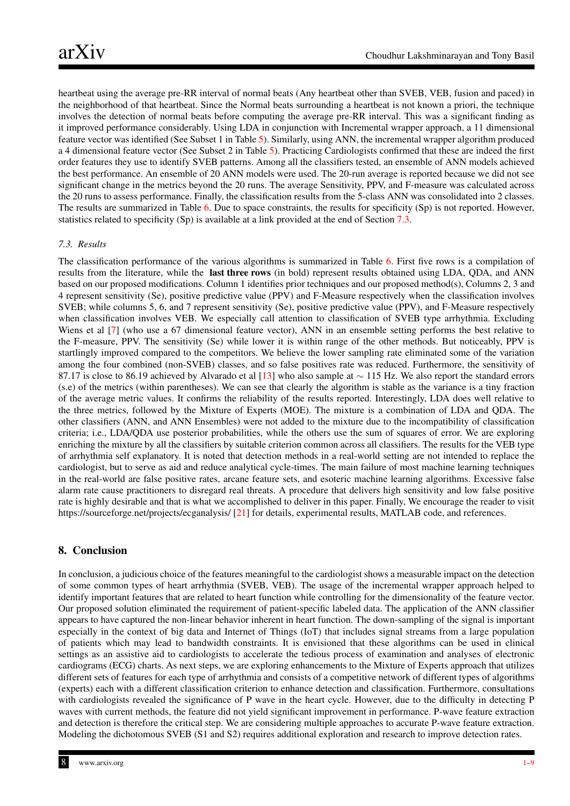heartbeat using the average pre-RR interval of normal beats (Any heartbeat other than SVEB, VEB, fusion and paced) in the neighborhood of that heartbeat. Since the Normal beats surrounding a heartbeat is not known a priori, the technique involves the detection of normal beats before computing the average pre-RR interval. This was a significant finding as it improved performance considerably. Using LDA in conjunction with Incremental wrapper approach, a 11 dimensional feature vector was identified (See Subset 1 in Table [5\)](#page-10-2). Similarly, using ANN, the incremental wrapper algorithm produced a 4 dimensional feature vector (See Subset 2 in Table [5\)](#page-10-2). Practicing Cardiologists confirmed that these are indeed the first order features they use to identify SVEB patterns. Among all the classifiers tested, an ensemble of ANN models achieved the best performance. An ensemble of 20 ANN models were used. The 20-run average is reported because we did not see significant change in the metrics beyond the 20 runs. The average Sensitivity, PPV, and F-measure was calculated across the 20 runs to assess performance. Finally, the classification results from the 5-class ANN was consolidated into 2 classes. The results are summarized in Table [6.](#page-10-0) Due to space constraints, the results for specificity (Sp) is not reported. However, statistics related to specificity (Sp) is available at a link provided at the end of Section [7.3.](#page-7-0)

#### <span id="page-7-0"></span>*7.3. Results*

The classification performance of the various algorithms is summarized in Table [6.](#page-10-0) First five rows is a compilation of results from the literature, while the last three rows (in bold) represent results obtained using LDA, QDA, and ANN based on our proposed modifications. Column 1 identifies prior techniques and our proposed method(s), Columns 2, 3 and 4 represent sensitivity (Se), positive predictive value (PPV) and F-Measure respectively when the classification involves SVEB; while columns 5, 6, and 7 represent sensitivity (Se), positive predictive value (PPV), and F-Measure respectively when classification involves VEB. We especially call attention to classification of SVEB type arrhythmia. Excluding Wiens et al [\[7\]](#page-8-10) (who use a 67 dimensional feature vector), ANN in an ensemble setting performs the best relative to the F-measure, PPV. The sensitivity (Se) while lower it is within range of the other methods. But noticeably, PPV is startlingly improved compared to the competitors. We believe the lower sampling rate eliminated some of the variation among the four combined (non-SVEB) classes, and so false positives rate was reduced. Furthermore, the sensitivity of 87.17 is close to 86.19 achieved by Alvarado et al [\[13\]](#page-8-3) who also sample at ~ 115 Hz. We also report the standard errors (s.e) of the metrics (within parentheses). We can see that clearly the algorithm is stable as the variance is a tiny fraction of the average metric values. It confirms the reliability of the results reported. Interestingly, LDA does well relative to the three metrics, followed by the Mixture of Experts (MOE). The mixture is a combination of LDA and QDA. The other classifiers (ANN, and ANN Ensembles) were not added to the mixture due to the incompatibility of classification criteria; i.e., LDA/QDA use posterior probabilities, while the others use the sum of squares of error. We are exploring enriching the mixture by all the classifiers by suitable criterion common across all classifiers. The results for the VEB type of arrhythmia self explanatory. It is noted that detection methods in a real-world setting are not intended to replace the cardiologist, but to serve as aid and reduce analytical cycle-times. The main failure of most machine learning techniques in the real-world are false positive rates, arcane feature sets, and esoteric machine learning algorithms. Excessive false alarm rate cause practitioners to disregard real threats. A procedure that delivers high sensitivity and low false positive rate is highly desirable and that is what we accomplished to deliver in this paper. Finally, We encourage the reader to visit https://sourceforge.net/projects/ecganalysis/ [\[21\]](#page-8-19) for details, experimental results, MATLAB code, and references.

# 8. Conclusion

In conclusion, a judicious choice of the features meaningful to the cardiologist shows a measurable impact on the detection of some common types of heart arrhythmia (SVEB, VEB). The usage of the incremental wrapper approach helped to identify important features that are related to heart function while controlling for the dimensionality of the feature vector. Our proposed solution eliminated the requirement of patient-specific labeled data. The application of the ANN classifier appears to have captured the non-linear behavior inherent in heart function. The down-sampling of the signal is important especially in the context of big data and Internet of Things (IoT) that includes signal streams from a large population of patients which may lead to bandwidth constraints. It is envisioned that these algorithms can be used in clinical settings as an assistive aid to cardiologists to accelerate the tedious process of examination and analyses of electronic cardiograms (ECG) charts. As next steps, we are exploring enhancements to the Mixture of Experts approach that utilizes different sets of features for each type of arrhythmia and consists of a competitive network of different types of algorithms (experts) each with a different classification criterion to enhance detection and classification. Furthermore, consultations with cardiologists revealed the significance of P wave in the heart cycle. However, due to the difficulty in detecting P waves with current methods, the feature did not yield significant improvement in performance. P-wave feature extraction and detection is therefore the critical step. We are considering multiple approaches to accurate P-wave feature extraction. Modeling the dichotomous SVEB (S1 and S2) requires additional exploration and research to improve detection rates.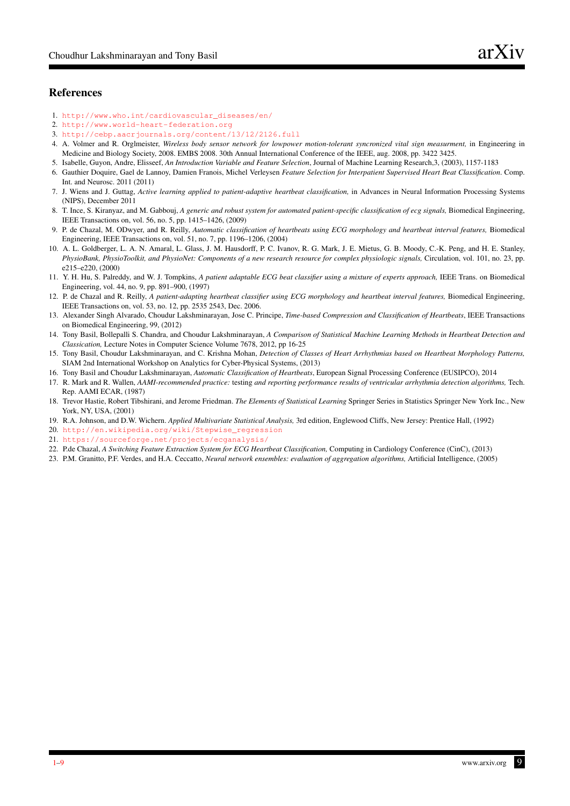# References

- <span id="page-8-0"></span>1. [http://www.who.int/cardiovascular\\_diseases/en/](http://www.who.int/cardiovascular_diseases/en/)
- <span id="page-8-1"></span>2. <http://www.world-heart-federation.org>
- 3. <http://cebp.aacrjournals.org/content/13/12/2126.full>
- <span id="page-8-2"></span>4. A. Volmer and R. Orglmeister, *Wireless body sensor network for lowpower motion-tolerant syncronized vital sign measurment,* in Engineering in Medicine and Biology Society, 2008. EMBS 2008. 30th Annual International Conference of the IEEE, aug. 2008, pp. 3422 3425.
- <span id="page-8-4"></span>5. Isabelle, Guyon, Andre, Elisseef, *An Introduction Variable and Feature Selection*, Journal of Machine Learning Research,3, (2003), 1157-1183
- <span id="page-8-5"></span>6. Gauthier Doquire, Gael de Lannoy, Damien Franois, Michel Verleysen *Feature Selection for Interpatient Supervised Heart Beat Classification*. Comp. Int. and Neurosc. 2011 (2011)
- <span id="page-8-10"></span>7. J. Wiens and J. Guttag, *Active learning applied to patient-adaptive heartbeat classification,* in Advances in Neural Information Processing Systems (NIPS), December 2011
- <span id="page-8-11"></span>8. T. Ince, S. Kiranyaz, and M. Gabbouj, *A generic and robust system for automated patient-specific classification of ecg signals,* Biomedical Engineering, IEEE Transactions on, vol. 56, no. 5, pp. 1415–1426, (2009)
- <span id="page-8-7"></span>9. P. de Chazal, M. ODwyer, and R. Reilly, *Automatic classification of heartbeats using ECG morphology and heartbeat interval features,* Biomedical Engineering, IEEE Transactions on, vol. 51, no. 7, pp. 1196–1206, (2004)
- <span id="page-8-15"></span>10. A. L. Goldberger, L. A. N. Amaral, L. Glass, J. M. Hausdorff, P. C. Ivanov, R. G. Mark, J. E. Mietus, G. B. Moody, C.-K. Peng, and H. E. Stanley, *PhysioBank, PhysioToolkit, and PhysioNet: Components of a new research resource for complex physiologic signals,* Circulation, vol. 101, no. 23, pp. e215–e220, (2000)
- <span id="page-8-6"></span>11. Y. H. Hu, S. Palreddy, and W. J. Tompkins, *A patient adaptable ECG beat classifier using a mixture of experts approach,* IEEE Trans. on Biomedical Engineering, vol. 44, no. 9, pp. 891–900, (1997)
- <span id="page-8-8"></span>12. P. de Chazal and R. Reilly, *A patient-adapting heartbeat classifier using ECG morphology and heartbeat interval features,* Biomedical Engineering, IEEE Transactions on, vol. 53, no. 12, pp. 2535 2543, Dec. 2006.
- <span id="page-8-3"></span>13. Alexander Singh Alvarado, Choudur Lakshminarayan, Jose C. Principe, *Time-based Compression and Classification of Heartbeats*, IEEE Transactions on Biomedical Engineering, 99, (2012)
- <span id="page-8-12"></span>14. Tony Basil, Bollepalli S. Chandra, and Choudur Lakshminarayan, *A Comparison of Statistical Machine Learning Methods in Heartbeat Detection and Classication,* Lecture Notes in Computer Science Volume 7678, 2012, pp 16-25
- <span id="page-8-13"></span>15. Tony Basil, Choudur Lakshminarayan, and C. Krishna Mohan, *Detection of Classes of Heart Arrhythmias based on Heartbeat Morphology Patterns,* SIAM 2nd International Workshop on Analytics for Cyber-Physical Systems, (2013)
- <span id="page-8-14"></span>16. Tony Basil and Choudur Lakshminarayan, *Automatic Classification of Heartbeats*, European Signal Processing Conference (EUSIPCO), 2014
- <span id="page-8-16"></span>17. R. Mark and R. Wallen, *AAMI-recommended practice:* testing *and reporting performance results of ventricular arrhythmia detection algorithms,* Tech. Rep. AAMI ECAR, (1987)
- <span id="page-8-17"></span>18. Trevor Hastie, Robert Tibshirani, and Jerome Friedman. *The Elements of Statistical Learning* Springer Series in Statistics Springer New York Inc., New York, NY, USA, (2001)
- 19. R.A. Johnson, and D.W. Wichern. *Applied Multivariate Statistical Analysis,* 3rd edition, Englewood Cliffs, New Jersey: Prentice Hall, (1992)
- <span id="page-8-18"></span>20. [http://en.wikipedia.org/wiki/Stepwise\\_regression](http://en.wikipedia.org/wiki/Stepwise_regression)
- <span id="page-8-19"></span>21. <https://sourceforge.net/projects/ecganalysis/>
- <span id="page-8-9"></span>22. P.de Chazal, *A Switching Feature Extraction System for ECG Heartbeat Classification,* Computing in Cardiology Conference (CinC), (2013)
- 23. P.M. Granitto, P.F. Verdes, and H.A. Ceccatto, *Neural network ensembles: evaluation of aggregation algorithms,* Artificial Intelligence, (2005)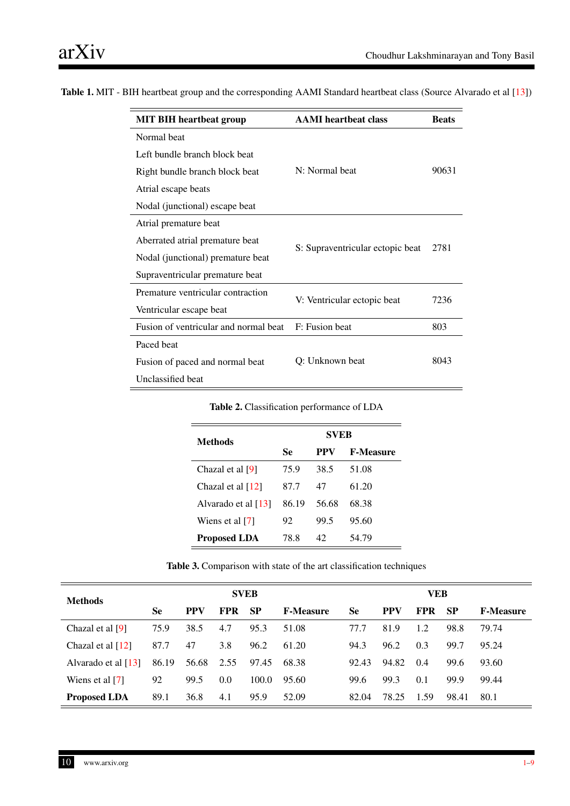| <b>MIT BIH heartbeat group</b>        | <b>AAMI</b> heartbeat class      | <b>Beats</b> |  |
|---------------------------------------|----------------------------------|--------------|--|
| Normal beat                           |                                  |              |  |
| Left bundle branch block beat         |                                  |              |  |
| Right bundle branch block beat        | N: Normal beat                   | 90631        |  |
| Atrial escape beats                   |                                  |              |  |
| Nodal (junctional) escape beat        |                                  |              |  |
| Atrial premature beat                 |                                  |              |  |
| Aberrated atrial premature beat       |                                  | 2781         |  |
| Nodal (junctional) premature beat     | S: Supraventricular ectopic beat |              |  |
| Supraventricular premature beat       |                                  |              |  |
| Premature ventricular contraction     |                                  |              |  |
| Ventricular escape beat               | V: Ventricular ectopic beat      | 7236         |  |
| Fusion of ventricular and normal beat | F: Fusion beat                   | 803          |  |
| Paced beat                            |                                  |              |  |
| Fusion of paced and normal beat       | Q: Unknown beat                  | 8043         |  |
| Unclassified beat                     |                                  |              |  |

<span id="page-9-0"></span>Table 1. MIT - BIH heartbeat group and the corresponding AAMI Standard heartbeat class (Source Alvarado et al [\[13\]](#page-8-3))

Table 2. Classification performance of LDA

<span id="page-9-2"></span>

| Methods               | <b>SVEB</b> |       |                  |  |  |  |
|-----------------------|-------------|-------|------------------|--|--|--|
|                       | Se          | PPV   | <b>F-Measure</b> |  |  |  |
| Chazal et al [9]      | 75.9        | 38.5  | 51.08            |  |  |  |
| Chazal et al [12]     | 87.7        | 47    | 61.20            |  |  |  |
| Alvarado et al $[13]$ | 86.19       | 56.68 | 68.38            |  |  |  |
| Wiens et al [7]       | 92          | 99.5  | 95.60            |  |  |  |
| <b>Proposed LDA</b>   | 78.8        | 42    | 54.79            |  |  |  |

| Table 3. Comparison with state of the art classification techniques |  |  |  |
|---------------------------------------------------------------------|--|--|--|
|---------------------------------------------------------------------|--|--|--|

<span id="page-9-1"></span>

| <b>Methods</b>      |           |            |            | <b>VEB</b> |                  |           |            |            |           |                  |
|---------------------|-----------|------------|------------|------------|------------------|-----------|------------|------------|-----------|------------------|
|                     | <b>Se</b> | <b>PPV</b> | <b>FPR</b> | <b>SP</b>  | <b>F-Measure</b> | <b>Se</b> | <b>PPV</b> | <b>FPR</b> | <b>SP</b> | <b>F-Measure</b> |
| Chazal et al [9]    | 75.9      | 38.5       | 4.7        | 95.3       | 51.08            | 77.7      | 81.9       | 1.2        | 98.8      | 79.74            |
| Chazal et al [12]   | 87.7      | 47         | 3.8        | 96.2       | 61.20            | 94.3      | 96.2       | 0.3        | 99.7      | 95.24            |
| Alvarado et al [13] | 86.19     | 56.68      | 2.55       | 97.45      | 68.38            | 92.43     | 94.82      | 0.4        | 99.6      | 93.60            |
| Wiens et al [7]     | 92        | 99.5       | 0.0        | 100.0      | 95.60            | 99.6      | 99.3       | 0.1        | 99.9      | 99.44            |
| <b>Proposed LDA</b> | 89.1      | 36.8       | 4.1        | 95.9       | 52.09            | 82.04     | 78.25      | 1.59       | 98.41     | 80.1             |